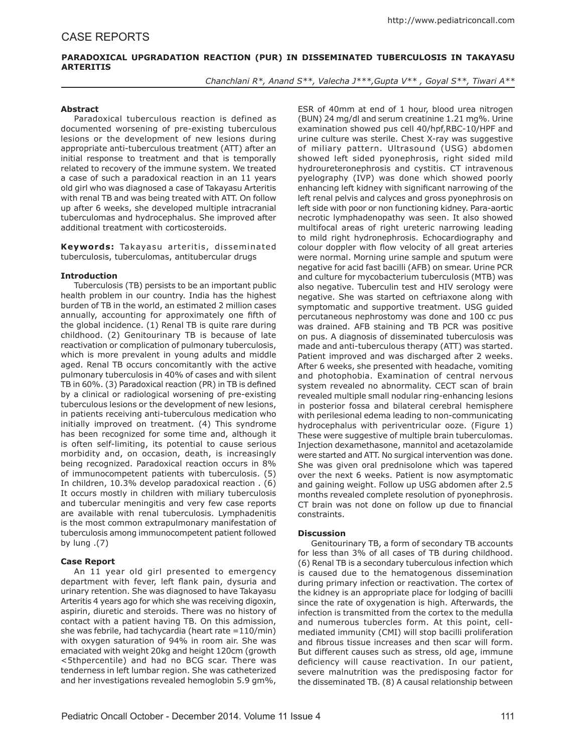# **PARADOXICAL UPGRADATION REACTION (PUR) IN DISSEMINATED TUBERCULOSIS IN TAKAYASU ARTERITIS**

*Chanchlani R\*, Anand S\*\*, Valecha J\*\*\*,Gupta V\*\* , Goyal S\*\*, Tiwari A\*\**

## **Abstract**

Paradoxical tuberculous reaction is defined as documented worsening of pre-existing tuberculous lesions or the development of new lesions during appropriate anti-tuberculous treatment (ATT) after an initial response to treatment and that is temporally related to recovery of the immune system. We treated a case of such a paradoxical reaction in an 11 years old girl who was diagnosed a case of Takayasu Arteritis with renal TB and was being treated with ATT. On follow up after 6 weeks, she developed multiple intracranial tuberculomas and hydrocephalus. She improved after additional treatment with corticosteroids.

Keywords: Takayasu arteritis, disseminated tuberculosis, tuberculomas, antitubercular drugs

### **Introduction**

Tuberculosis (TB) persists to be an important public health problem in our country. India has the highest burden of TB in the world, an estimated 2 million cases annually, accounting for approximately one fifth of the global incidence. (1) Renal TB is quite rare during childhood. (2) Genitourinary TB is because of late reactivation or complication of pulmonary tuberculosis, which is more prevalent in young adults and middle aged. Renal TB occurs concomitantly with the active pulmonary tuberculosis in 40% of cases and with silent TB in 60%. (3) Paradoxical reaction (PR) in TB is defined by a clinical or radiological worsening of pre-existing tuberculous lesions or the development of new lesions, in patients receiving anti-tuberculous medication who initially improved on treatment. (4) This syndrome has been recognized for some time and, although it is often self-limiting, its potential to cause serious morbidity and, on occasion, death, is increasingly being recognized. Paradoxical reaction occurs in 8% of immunocompetent patients with tuberculosis. (5) In children, 10.3% develop paradoxical reaction . (6) It occurs mostly in children with miliary tuberculosis and tubercular meningitis and very few case reports are available with renal tuberculosis. Lymphadenitis is the most common extrapulmonary manifestation of tuberculosis among immunocompetent patient followed by lung .(7)

## **Case Report**

An 11 year old girl presented to emergency department with fever, left flank pain, dysuria and urinary retention. She was diagnosed to have Takayasu Arteritis 4 years ago for which she was receiving digoxin, aspirin, diuretic and steroids. There was no history of contact with a patient having TB. On this admission, she was febrile, had tachycardia (heart rate =110/min) with oxygen saturation of 94% in room air. She was emaciated with weight 20kg and height 120cm (growth <5thpercentile) and had no BCG scar. There was tenderness in left lumbar region. She was catheterized and her investigations revealed hemoglobin 5.9 gm%,

ESR of 40mm at end of 1 hour, blood urea nitrogen (BUN) 24 mg/dl and serum creatinine 1.21 mg%. Urine examination showed pus cell 40/hpf,RBC-10/HPF and urine culture was sterile. Chest X-ray was suggestive of miliary pattern. Ultrasound (USG) abdomen showed left sided pyonephrosis, right sided mild hydroureteronephrosis and cystitis. CT intravenous pyelography (IVP) was done which showed poorly enhancing left kidney with significant narrowing of the left renal pelvis and calyces and gross pyonephrosis on left side with poor or non functioning kidney. Para-aortic necrotic lymphadenopathy was seen. It also showed multifocal areas of right ureteric narrowing leading to mild right hydronephrosis. Echocardiography and colour doppler with flow velocity of all great arteries were normal. Morning urine sample and sputum were negative for acid fast bacilli (AFB) on smear. Urine PCR and culture for mycobacterium tuberculosis (MTB) was also negative. Tuberculin test and HIV serology were negative. She was started on ceftriaxone along with symptomatic and supportive treatment. USG guided percutaneous nephrostomy was done and 100 cc pus was drained. AFB staining and TB PCR was positive on pus. A diagnosis of disseminated tuberculosis was made and anti-tuberculous therapy (ATT) was started. Patient improved and was discharged after 2 weeks. After 6 weeks, she presented with headache, vomiting and photophobia. Examination of central nervous system revealed no abnormality. CECT scan of brain revealed multiple small nodular ring-enhancing lesions in posterior fossa and bilateral cerebral hemisphere with perilesional edema leading to non-communicating hydrocephalus with periventricular ooze. (Figure 1) These were suggestive of multiple brain tuberculomas. Injection dexamethasone, mannitol and acetazolamide were started and ATT. No surgical intervention was done. She was given oral prednisolone which was tapered over the next 6 weeks. Patient is now asymptomatic and gaining weight. Follow up USG abdomen after 2.5 months revealed complete resolution of pyonephrosis. CT brain was not done on follow up due to financial constraints.

### **Discussion**

Genitourinary TB, a form of secondary TB accounts for less than 3% of all cases of TB during childhood. (6) Renal TB is a secondary tuberculous infection which is caused due to the hematogenous dissemination during primary infection or reactivation. The cortex of the kidney is an appropriate place for lodging of bacilli since the rate of oxygenation is high. Afterwards, the infection is transmitted from the cortex to the medulla and numerous tubercles form. At this point, cellmediated immunity (CMI) will stop bacilli proliferation and fibrous tissue increases and then scar will form. But different causes such as stress, old age, immune deficiency will cause reactivation. In our patient, severe malnutrition was the predisposing factor for the disseminated TB. (8) A causal relationship between